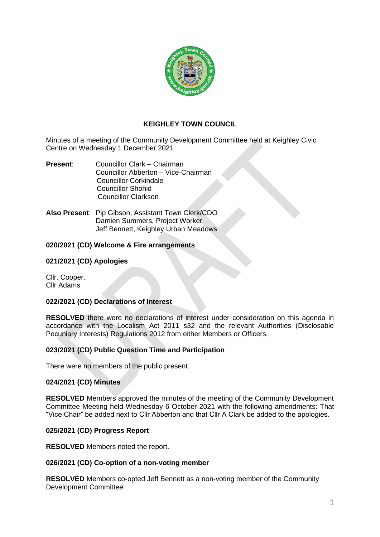

# **KEIGHLEY TOWN COUNCIL**

Minutes of a meeting of the Community Development Committee held at Keighley Civic Centre on Wednesday 1 December 2021

- **Present**: Councillor Clark Chairman Councillor Abberton – Vice-Chairman Councillor Corkindale Councillor Shohid Councillor Clarkson
- **Also Present**: Pip Gibson, Assistant Town Clerk/CDO Damien Summers, Project Worker Jeff Bennett, Keighley Urban Meadows

## **020/2021 (CD) Welcome & Fire arrangements**

### **021/2021 (CD) Apologies**

Cllr. Cooper. Cllr Adams

#### **022/2021 (CD) Declarations of Interest**

**RESOLVED** there were no declarations of interest under consideration on this agenda in accordance with the Localism Act 2011 s32 and the relevant Authorities (Disclosable Pecuniary Interests) Regulations 2012 from either Members or Officers.

## **023/2021 (CD) Public Question Time and Participation**

There were no members of the public present.

#### **024/2021 (CD) Minutes**

**RESOLVED** Members approved the minutes of the meeting of the Community Development Committee Meeting held Wednesday 6 October 2021 with the following amendments: That "Vice Chair" be added next to Cllr Abberton and that Cllr A Clark be added to the apologies.

#### **025/2021 (CD) Progress Report**

**RESOLVED** Members noted the report.

#### **026/2021 (CD) Co-option of a non-voting member**

**RESOLVED** Members co-opted Jeff Bennett as a non-voting member of the Community Development Committee.